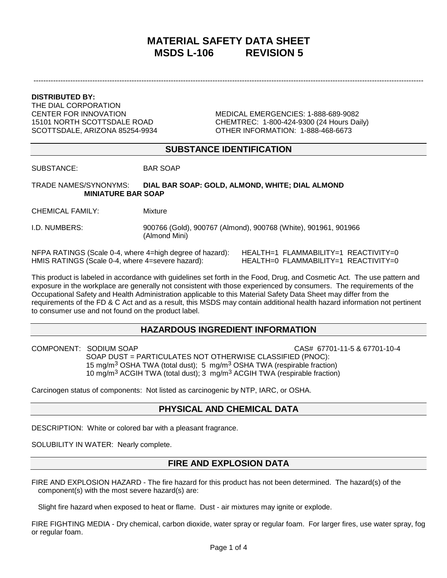# **MATERIAL SAFETY DATA SHEET MSDS L-106 REVISION 5**

---------------------------------------------------------------------------------------------------------------------------------------------------------------

**DISTRIBUTED BY:**

THE DIAL CORPORATION

CENTER FOR INNOVATION MEDICAL EMERGENCIES: 1-888-689-9082 15101 NORTH SCOTTSDALE ROAD CHEMTREC: 1-800-424-9300 (24 Hours Daily) SCOTTSDALE, ARIZONA 85254-9934 OTHER INFORMATION: 1-888-468-6673

### **SUBSTANCE IDENTIFICATION**

SUBSTANCE: BAR SOAP

TRADE NAMES/SYNONYMS: **DIAL BAR SOAP: GOLD, ALMOND, WHITE; DIAL ALMOND MINIATURE BAR SOAP** 

CHEMICAL FAMILY: Mixture

I.D. NUMBERS: 900766 (Gold), 900767 (Almond), 900768 (White), 901961, 901966 (Almond Mini)

NFPA RATINGS (Scale 0-4, where 4=high degree of hazard): HEALTH=1 FLAMMABILITY=1 REACTIVITY=0<br>HMIS RATINGS (Scale 0-4, where 4=severe hazard): HEALTH=0 FLAMMABILITY=1 REACTIVITY=0 HMIS RATINGS (Scale 0-4, where 4=severe hazard):

This product is labeled in accordance with guidelines set forth in the Food, Drug, and Cosmetic Act. The use pattern and exposure in the workplace are generally not consistent with those experienced by consumers. The requirements of the Occupational Safety and Health Administration applicable to this Material Safety Data Sheet may differ from the requirements of the FD & C Act and as a result, this MSDS may contain additional health hazard information not pertinent to consumer use and not found on the product label.

## **HAZARDOUS INGREDIENT INFORMATION**

COMPONENT: SODIUM SOAP CAS# 67701-11-5 & 67701-10-4 SOAP DUST = PARTICULATES NOT OTHERWISE CLASSIFIED (PNOC): 15 mg/m3 OSHA TWA (total dust); 5 mg/m3 OSHA TWA (respirable fraction) 10 mg/m3 ACGIH TWA (total dust); 3 mg/m3 ACGIH TWA (respirable fraction)

Carcinogen status of components: Not listed as carcinogenic by NTP, IARC, or OSHA.

### **PHYSICAL AND CHEMICAL DATA**

DESCRIPTION: White or colored bar with a pleasant fragrance.

SOLUBILITY IN WATER: Nearly complete.

### **FIRE AND EXPLOSION DATA**

FIRE AND EXPLOSION HAZARD - The fire hazard for this product has not been determined. The hazard(s) of the component(s) with the most severe hazard(s) are:

Slight fire hazard when exposed to heat or flame. Dust - air mixtures may ignite or explode.

FIRE FIGHTING MEDIA - Dry chemical, carbon dioxide, water spray or regular foam. For larger fires, use water spray, fog or regular foam.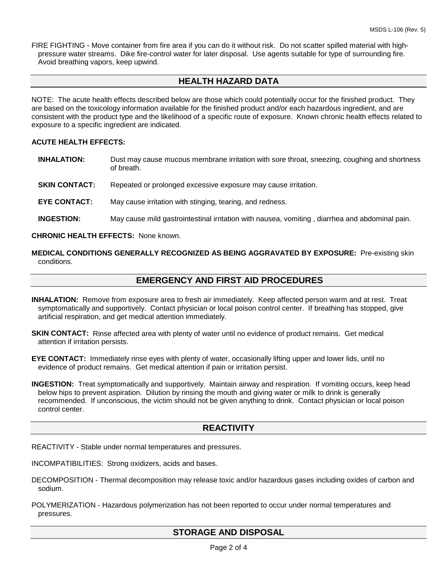FIRE FIGHTING - Move container from fire area if you can do it without risk. Do not scatter spilled material with highpressure water streams. Dike fire-control water for later disposal. Use agents suitable for type of surrounding fire. Avoid breathing vapors, keep upwind.

## **HEALTH HAZARD DATA**

NOTE: The acute health effects described below are those which could potentially occur for the finished product. They are based on the toxicology information available for the finished product and/or each hazardous ingredient, and are consistent with the product type and the likelihood of a specific route of exposure. Known chronic health effects related to exposure to a specific ingredient are indicated.

#### **ACUTE HEALTH EFFECTS:**

- **INHALATION:** Dust may cause mucous membrane irritation with sore throat, sneezing, coughing and shortness of breath.
- **SKIN CONTACT:** Repeated or prolonged excessive exposure may cause irritation.
- **EYE CONTACT:** May cause irritation with stinging, tearing, and redness.
- **INGESTION:** May cause mild gastrointestinal irritation with nausea, vomiting, diarrhea and abdominal pain.

#### **CHRONIC HEALTH EFFECTS:** None known.

**MEDICAL CONDITIONS GENERALLY RECOGNIZED AS BEING AGGRAVATED BY EXPOSURE:** Pre-existing skin conditions.

#### **EMERGENCY AND FIRST AID PROCEDURES**

- **INHALATION:** Remove from exposure area to fresh air immediately. Keep affected person warm and at rest. Treat symptomatically and supportively. Contact physician or local poison control center. If breathing has stopped, give artificial respiration, and get medical attention immediately.
- **SKIN CONTACT:** Rinse affected area with plenty of water until no evidence of product remains. Get medical attention if irritation persists.
- **EYE CONTACT:** Immediately rinse eyes with plenty of water, occasionally lifting upper and lower lids, until no evidence of product remains. Get medical attention if pain or irritation persist.
- **INGESTION:** Treat symptomatically and supportively. Maintain airway and respiration. If vomiting occurs, keep head below hips to prevent aspiration. Dilution by rinsing the mouth and giving water or milk to drink is generally recommended. If unconscious, the victim should not be given anything to drink. Contact physician or local poison control center.

### **REACTIVITY**

REACTIVITY - Stable under normal temperatures and pressures.

INCOMPATIBILITIES: Strong oxidizers, acids and bases.

- DECOMPOSITION Thermal decomposition may release toxic and/or hazardous gases including oxides of carbon and sodium.
- POLYMERIZATION Hazardous polymerization has not been reported to occur under normal temperatures and pressures.

# **STORAGE AND DISPOSAL**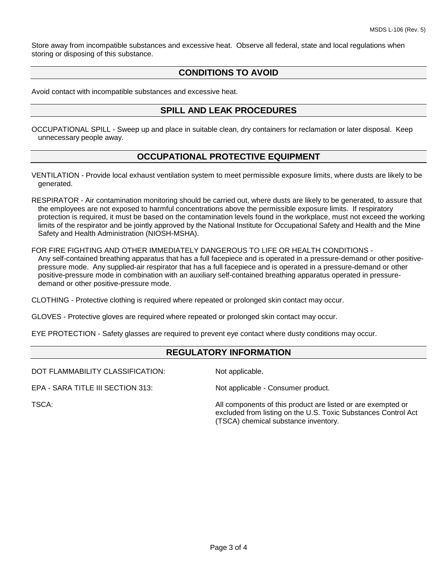Store away from incompatible substances and excessive heat. Observe all federal, state and local regulations when storing or disposing of this substance.

### **CONDITIONS TO AVOID**

Avoid contact with incompatible substances and excessive heat.

### **SPILL AND LEAK PROCEDURES**

OCCUPATIONAL SPILL - Sweep up and place in suitable clean, dry containers for reclamation or later disposal. Keep unnecessary people away.

### **OCCUPATIONAL PROTECTIVE EQUIPMENT**

VENTILATION - Provide local exhaust ventilation system to meet permissible exposure limits, where dusts are likely to be generated.

RESPIRATOR - Air contamination monitoring should be carried out, where dusts are likely to be generated, to assure that the employees are not exposed to harmful concentrations above the permissible exposure limits. If respiratory protection is required, it must be based on the contamination levels found in the workplace, must not exceed the working limits of the respirator and be jointly approved by the National Institute for Occupational Safety and Health and the Mine Safety and Health Administration (NIOSH-MSHA).

FOR FIRE FIGHTING AND OTHER IMMEDIATELY DANGEROUS TO LIFE OR HEALTH CONDITIONS - Any self-contained breathing apparatus that has a full facepiece and is operated in a pressure-demand or other positivepressure mode. Any supplied-air respirator that has a full facepiece and is operated in a pressure-demand or other positive-pressure mode in combination with an auxiliary self-contained breathing apparatus operated in pressuredemand or other positive-pressure mode.

CLOTHING - Protective clothing is required where repeated or prolonged skin contact may occur.

GLOVES - Protective gloves are required where repeated or prolonged skin contact may occur.

EYE PROTECTION - Safety glasses are required to prevent eye contact where dusty conditions may occur.

### **REGULATORY INFORMATION**

DOT FLAMMABILITY CLASSIFICATION: Not applicable.

EPA - SARA TITLE III SECTION 313: Not applicable - Consumer product.

TSCA: All components of this product are listed or are exempted or excluded from listing on the U.S. Toxic Substances Control Act (TSCA) chemical substance inventory.